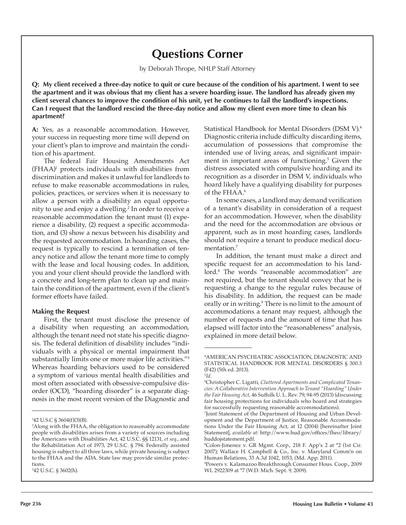# **Questions Corner**

by Deborah Thrope, NHLP Staff Attorney

**Q: My client received a three-day notice to quit or cure because of the condition of his apartment. I went to see the apartment and it was obvious that my client has a severe hoarding issue. The landlord has already given my client several chances to improve the condition of his unit, yet he continues to fail the landlord's inspections. Can I request that the landlord rescind the three-day notice and allow my client even more time to clean his apartment?**

**A:** Yes, as a reasonable accommodation. However, your success in requesting more time will depend on your client's plan to improve and maintain the condition of his apartment.

The federal Fair Housing Amendments Act (FHAA)1 protects individuals with disabilities from discrimination and makes it unlawful for landlords to refuse to make reasonable accommodations in rules, policies, practices, or services when it is necessary to allow a person with a disability an equal opportunity to use and enjoy a dwelling.<sup>2</sup> In order to receive a reasonable accommodation the tenant must (1) experience a disability, (2) request a specific accommodation, and (3) show a nexus between his disability and the requested accommodation. In hoarding cases, the request is typically to rescind a termination of tenancy notice and allow the tenant more time to comply with the lease and local housing codes. In addition, you and your client should provide the landlord with a concrete and long-term plan to clean up and maintain the condition of the apartment, even if the client's former efforts have failed.

#### **Making the Request**

First, the tenant must disclose the presence of a disability when requesting an accommodation, although the tenant need not state his specific diagnosis. The federal definition of disability includes "individuals with a physical or mental impairment that substantially limits one or more major life activities."<sup>3</sup> Whereas hoarding behaviors used to be considered a symptom of various mental health disabilities and most often associated with obsessive-compulsive disorder (OCD), "hoarding disorder" is a separate diagnosis in the most recent version of the Diagnostic and

3 42 U.S.C. § 3602(h).

Statistical Handbook for Mental Disorders (DSM V).<sup>4</sup> Diagnostic criteria include difficulty discarding items, accumulation of possessions that compromise the intended use of living areas, and significant impairment in important areas of functioning.<sup>5</sup> Given the distress associated with compulsive hoarding and its recognition as a disorder in DSM V, individuals who hoard likely have a qualifying disability for purposes of the FHAA.<sup>6</sup>

In some cases, a landlord may demand verification of a tenant's disability in consideration of a request for an accommodation. However, when the disability and the need for the accommodation are obvious or apparent, such as in most hoarding cases, landlords should not require a tenant to produce medical documentation.<sup>7</sup>

In addition, the tenant must make a direct and specific request for an accommodation to his landlord.<sup>8</sup> The words "reasonable accommodation" are not required, but the tenant should convey that he is requesting a change to the regular rules because of his disability. In addition, the request can be made orally or in writing.<sup>9</sup> There is no limit to the amount of accommodations a tenant may request, although the number of requests and the amount of time that has elapsed will factor into the "reasonableness" analysis, explained in more detail below.

<sup>1</sup> 42 U.S.C § 3604(f)(3)(B).

<sup>2</sup> Along with the FHAA, the obligation to reasonably accommodate people with disabilities arises from a variety of sources including the Americans with Disabilities Act, 42 U.S.C. §§ 12131, *et seq.,* and the Rehabilitation Act of 1973, 29 U.S.C. § 794. Federally assisted housing is subject to all three laws, while private housing is subject to the FHAA and the ADA. State law may provide similar protections.

<sup>&</sup>lt;sup>4</sup>AMERICAN PSYCHIATRIC ASSOCIATION, DIAGNOSTIC A STATISTICAL HANDBOOK FOR MENTAL DISORDERS § 300.3 (F42) (5th ed. 2013).

<sup>5</sup> *Id.*

<sup>6</sup> Christopher C. Ligatti, *Cluttered Apartments and Complicated Tenancies: A Collaborative Intervention Approach to Tenant "Hoarding" Under the Fair Housing Act*, 46 Suffolk U. L. Rev. 79, 94-95 (2013) (discussing fair housing protections for individuals who hoard and strategies for successfully requesting reasonable accommodations).

<sup>7</sup> Joint Statement of the Department of Housing and Urban Development and the Department of Justice, Reasonable Accommodations Under the Fair Housing Act, at 12 (2004) [hereinafter Joint Statement], *available at:* http://www.hud.gov/offices/fheo/library/ huddojstatement.pdf.

<sup>8</sup> Colon-Jimenez v. GR Mgmt. Corp., 218 F. App'x 2 at \*2 (1st Cir. 2007); Wallace H. Campbell & Co., Inc. v. Maryland Comm'n on Human Relations, 33 A.3d 1042, 1053, (Md. App. 2011).

<sup>9</sup> Powers v. Kalamazoo Breakthrough Consumer Hous. Coop., 2009 WL 2922309 at \*7 (W.D. Mich. Sept. 9, 2009).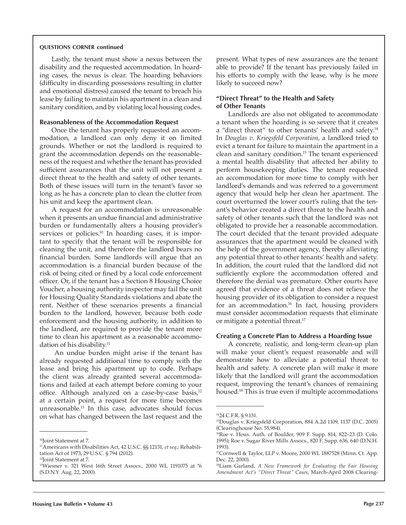#### **questions corner continued**

Lastly, the tenant must show a nexus between the disability and the requested accommodation. In hoarding cases, the nexus is clear. The hoarding behaviors (difficulty in discarding possessions resulting in clutter and emotional distress) caused the tenant to breach his lease by failing to maintain his apartment in a clean and sanitary condition, and by violating local housing codes.

#### **Reasonableness of the Accommodation Request**

Once the tenant has properly requested an accommodation, a landlord can only deny it on limited grounds. Whether or not the landlord is required to grant the accommodation depends on the reasonableness of the request and whether the tenant has provided sufficient assurances that the unit will not present a direct threat to the health and safety of other tenants. Both of these issues will turn in the tenant's favor so long as he has a concrete plan to clean the clutter from his unit and keep the apartment clean.

A request for an accommodation is unreasonable when it presents an undue financial and administrative burden or fundamentally alters a housing provider's services or policies.<sup>10</sup> In hoarding cases, it is important to specify that the tenant will be responsible for cleaning the unit, and therefore the landlord bears no financial burden. Some landlords will argue that an accommodation is a financial burden because of the risk of being cited or fined by a local code enforcement officer. Or, if the tenant has a Section 8 Housing Choice Voucher, a housing authority inspector may fail the unit for Housing Quality Standards violations and abate the rent. Neither of these scenarios presents a financial burden to the landlord, however, because both code enforcement and the housing authority, in addition to the landlord, are required to provide the tenant more time to clean his apartment as a reasonable accommodation of his disability.<sup>11</sup>

 An undue burden might arise if the tenant has already requested additional time to comply with the lease and bring his apartment up to code. Perhaps the client was already granted several accommodations and failed at each attempt before coming to your office. Although analyzed on a case-by-case basis,<sup>12</sup> at a certain point, a request for more time becomes unreasonable.13 In this case, advocates should focus on what has changed between the last request and the

present. What types of new assurances are the tenant able to provide? If the tenant has previously failed in his efforts to comply with the lease, why is he more likely to succeed now?

#### **"Direct Threat" to the Health and Safety of Other Tenants**

Landlords are also not obligated to accommodate a tenant when the hoarding is so severe that it creates a "direct threat" to other tenants' health and safety.<sup>14</sup> In *Douglas v. Kriegsfeld Corporation*, a landlord tried to evict a tenant for failure to maintain the apartment in a clean and sanitary condition.15 The tenant experienced a mental health disability that affected her ability to perform housekeeping duties. The tenant requested an accommodation for more time to comply with her landlord's demands and was referred to a government agency that would help her clean her apartment. The court overturned the lower court's ruling that the tenant's behavior created a direct threat to the health and safety of other tenants such that the landlord was not obligated to provide her a reasonable accommodation. The court decided that the tenant provided adequate assurances that the apartment would be cleaned with the help of the government agency, thereby alleviating any potential threat to other tenants' health and safety. In addition, the court ruled that the landlord did not sufficiently explore the accommodation offered and therefore the denial was premature. Other courts have agreed that evidence of a threat does not relieve the housing provider of its obligation to consider a request for an accommodation.<sup>16</sup> In fact, housing providers must consider accommodation requests that eliminate or mitigate a potential threat.<sup>17</sup>

#### **Creating a Concrete Plan to Address a Hoarding Issue**

A concrete, realistic, and long-term clean-up plan will make your client's request reasonable and will demonstrate how to alleviate a potential threat to health and safety. A concrete plan will make it more likely that the landlord will grant the accommodation request, improving the tenant's chances of remaining housed.18 This is true even if multiple accommodations

<sup>&</sup>lt;sup>10</sup>Joint Statement at 7.

<sup>11</sup>Americans with Disabilities Act, 42 U.S.C. §§ 12131, *et seq.;* Rehabilitation Act of 1973, 29 U.S.C. § 794 (2012).

<sup>12</sup>Joint Statement at 7.

<sup>13</sup>Wiesner v. 321 West 16th Street Assocs., 2000 WL 1191075 at \*6 (S.D.N.Y. Aug. 22, 2000).

<sup>14</sup>24 C.F.R. § 9.131.

<sup>15</sup>Douglas v. Kriegsfeld Corporation, 884 A.2d 1109, 1137 (D.C. 2005) (Clearinghouse No. 55,984).

 $16Roe$  v. Hous. Auth. of Boulder, 909 F. Supp. 814, 822–23 (D. Colo. 1995); Roe v. Sugar River Mills Assocs., 820 F. Supp. 636, 640 (D.N.H. 1993).

<sup>&</sup>lt;sup>17</sup>Cornwell & Taylor, LLP v. Moore, 2000 WL 1887528 (Minn. Ct. App. Dec. 22, 2000).

<sup>18</sup>Liam Garland, *A New Framework for Evaluating the Fair Housing Amendment Act's "Direct Threat" Cases*, March-April 2008 Clearing-